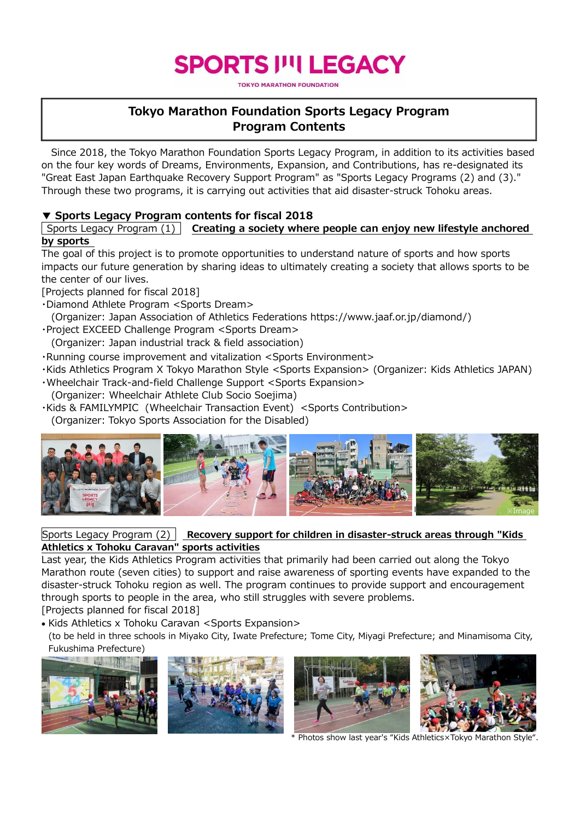# **SPORTS I''I LEGACY**

**TOKYO MARATHON FOUNDATION** 

# **Tokyo Marathon Foundation Sports Legacy Program Program Contents**

Since 2018, the Tokyo Marathon Foundation Sports Legacy Program, in addition to its activities based on the four key words of Dreams, Environments, Expansion, and Contributions, has re-designated its "Great East Japan Earthquake Recovery Support Program" as "Sports Legacy Programs (2) and (3)." Through these two programs, it is carrying out activities that aid disaster-struck Tohoku areas.

#### **▼ Sports Legacy Program contents for fiscal 2018**

Sports Legacy Program (1) **Creating a society where people can enjoy new lifestyle anchored by sports**

The goal of this project is to promote opportunities to understand nature of sports and how sports impacts our future generation by sharing ideas to ultimately creating a society that allows sports to be the center of our lives.

[Projects planned for fiscal 2018]

- ・Diamond Athlete Program <Sports Dream>
- (Organizer: Japan Association of Athletics Federations https://www.jaaf.or.jp/diamond/)
- ・Project EXCEED Challenge Program <Sports Dream>
- (Organizer: Japan industrial track & field association)
- ・Running course improvement and vitalization <Sports Environment>
- ・Kids Athletics Program X Tokyo Marathon Style <Sports Expansion> (Organizer: Kids Athletics JAPAN)
- ・Wheelchair Track-and-field Challenge Support <Sports Expansion>
- (Organizer: Wheelchair Athlete Club Socio Soejima)
- ・Kids & FAMILYMPIC (Wheelchair Transaction Event) <Sports Contribution> (Organizer: Tokyo Sports Association for the Disabled)



#### Sports Legacy Program (2) **Recovery support for children in disaster-struck areas through "Kids Athletics x Tohoku Caravan" sports activities**

Last year, the Kids Athletics Program activities that primarily had been carried out along the Tokyo Marathon route (seven cities) to support and raise awareness of sporting events have expanded to the disaster-struck Tohoku region as well. The program continues to provide support and encouragement through sports to people in the area, who still struggles with severe problems.

[Projects planned for fiscal 2018]

• Kids Athletics x Tohoku Caravan <Sports Expansion>

(to be held in three schools in Miyako City, Iwate Prefecture; Tome City, Miyagi Prefecture; and Minamisoma City, Fukushima Prefecture)







\* Photos show last year's "Kids Athletics×Tokyo Marathon Style".